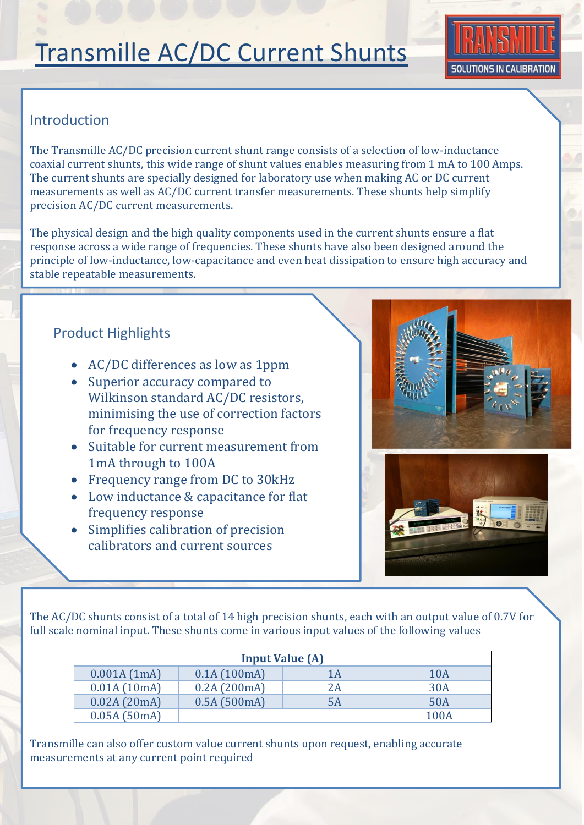# Transmille AC/DC Current Shunts



## Introduction

The Transmille AC/DC precision current shunt range consists of a selection of low-inductance coaxial current shunts, this wide range of shunt values enables measuring from 1 mA to 100 Amps. The current shunts are specially designed for laboratory use when making AC or DC current measurements as well as AC/DC current transfer measurements. These shunts help simplify precision AC/DC current measurements.

The physical design and the high quality components used in the current shunts ensure a flat response across a wide range of frequencies. These shunts have also been designed around the principle of low-inductance, low-capacitance and even heat dissipation to ensure high accuracy and stable repeatable measurements.

### Product Highlights

- AC/DC differences as low as 1ppm
- Superior accuracy compared to Wilkinson standard AC/DC resistors, minimising the use of correction factors for frequency response
- Suitable for current measurement from 1mA through to 100A
- Frequency range from DC to 30kHz
- Low inductance & capacitance for flat frequency response
- Simplifies calibration of precision calibrators and current sources

or AC measurement standards





The AC/DC shunts consist of a total of 14 high precision shunts, each with an output value of 0.7V for full scale nominal input. These shunts come in various input values of the following values

| <b>Input Value (A)</b> |             |    |      |  |  |  |  |
|------------------------|-------------|----|------|--|--|--|--|
| 0.001A(1mA)            | 0.1A(100mA) | 1A | 10A  |  |  |  |  |
| 0.01A(10mA)            | 0.2A(200mA) | 2A | 30A  |  |  |  |  |
| 0.02A(20mA)            | 0.5A(500mA) | 5A | 50A  |  |  |  |  |
| 0.05A(50mA)            |             |    | 100A |  |  |  |  |

Transmille can also offer custom value current shunts upon request, enabling accurate measurements at any current point required